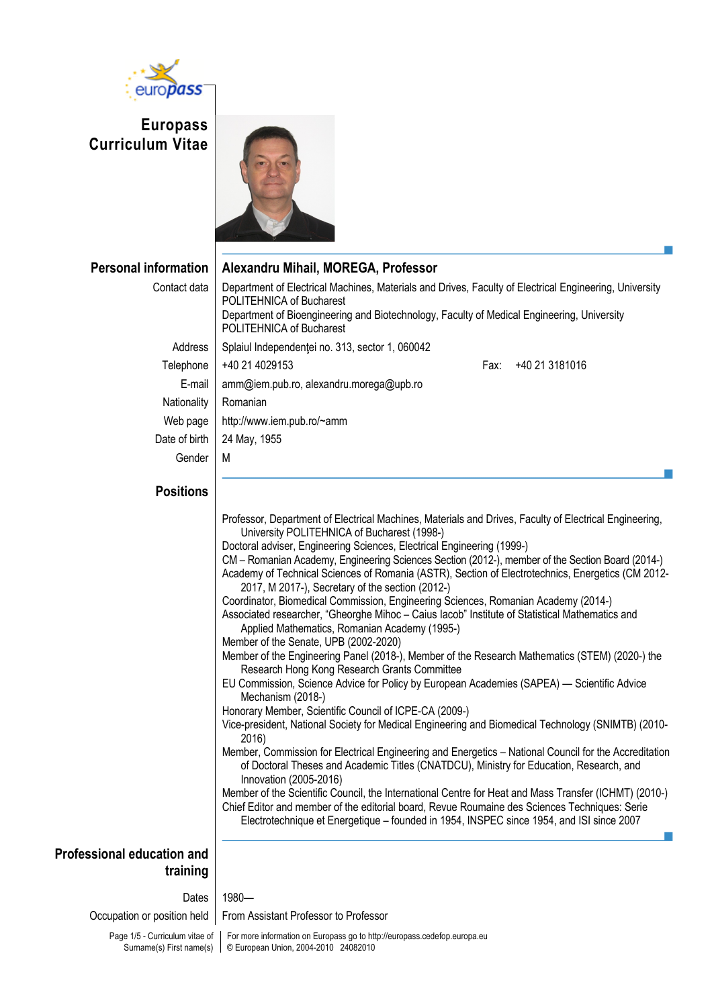

**Europass Curriculum Vitae**



**Personal information Alexandru Mihail, MOREGA, Professor** Contact data | Department of Electrical Machines, Materials and Drives, Faculty of Electrical Engineering, University POLITEHNICA of Bucharest Department of Bioengineering and Biotechnology, Faculty of Medical Engineering, University POLITEHNICA of Bucharest Address | Splaiul Independenței no. 313, sector 1, 060042 Telephone +40 21 4029153 Fax: +40 21 3181016 E-mail amm@iem.pub.ro, alexandru.morega@upb.ro Nationality | Romanian Web page | http://www.iem.pub.ro/~amm Date of birth | 24 May, 1955 Gender | M

## **Positions**

| Professor, Department of Electrical Machines, Materials and Drives, Faculty of Electrical Engineering,                                                                                                                     |  |
|----------------------------------------------------------------------------------------------------------------------------------------------------------------------------------------------------------------------------|--|
| University POLITEHNICA of Bucharest (1998-)                                                                                                                                                                                |  |
| Doctoral adviser, Engineering Sciences, Electrical Engineering (1999-)                                                                                                                                                     |  |
| CM - Romanian Academy, Engineering Sciences Section (2012-), member of the Section Board (2014-)                                                                                                                           |  |
| Academy of Technical Sciences of Romania (ASTR), Section of Electrotechnics, Energetics (CM 2012-<br>2017, M 2017-), Secretary of the section (2012-)                                                                      |  |
| Coordinator, Biomedical Commission, Engineering Sciences, Romanian Academy (2014-)                                                                                                                                         |  |
| Associated researcher, "Gheorghe Mihoc - Caius lacob" Institute of Statistical Mathematics and<br>Applied Mathematics, Romanian Academy (1995-)                                                                            |  |
| Member of the Senate, UPB (2002-2020)                                                                                                                                                                                      |  |
| Member of the Engineering Panel (2018-), Member of the Research Mathematics (STEM) (2020-) the<br>Research Hong Kong Research Grants Committee                                                                             |  |
| EU Commission, Science Advice for Policy by European Academies (SAPEA) — Scientific Advice<br>Mechanism (2018-)                                                                                                            |  |
| Honorary Member, Scientific Council of ICPE-CA (2009-)                                                                                                                                                                     |  |
| Vice-president, National Society for Medical Engineering and Biomedical Technology (SNIMTB) (2010-<br>2016)                                                                                                                |  |
| Member, Commission for Electrical Engineering and Energetics - National Council for the Accreditation<br>of Doctoral Theses and Academic Titles (CNATDCU), Ministry for Education, Research, and<br>Innovation (2005-2016) |  |
| Member of the Scientific Council, the International Centre for Heat and Mass Transfer (ICHMT) (2010-)                                                                                                                      |  |
| Chief Editor and member of the editorial board, Revue Roumaine des Sciences Techniques: Serie<br>Electrotechnique et Energetique - founded in 1954, INSPEC since 1954, and ISI since 2007                                  |  |
|                                                                                                                                                                                                                            |  |

## **Professional education and training**

Dates 1980-

Occupation or position held | From Assistant Professor to Professor

Page 1/5 - Curriculum vitae of Surname(s) First name(s)

For more information on Europass go to http://europass.cedefop.europa.eu © European Union, 2004-2010 24082010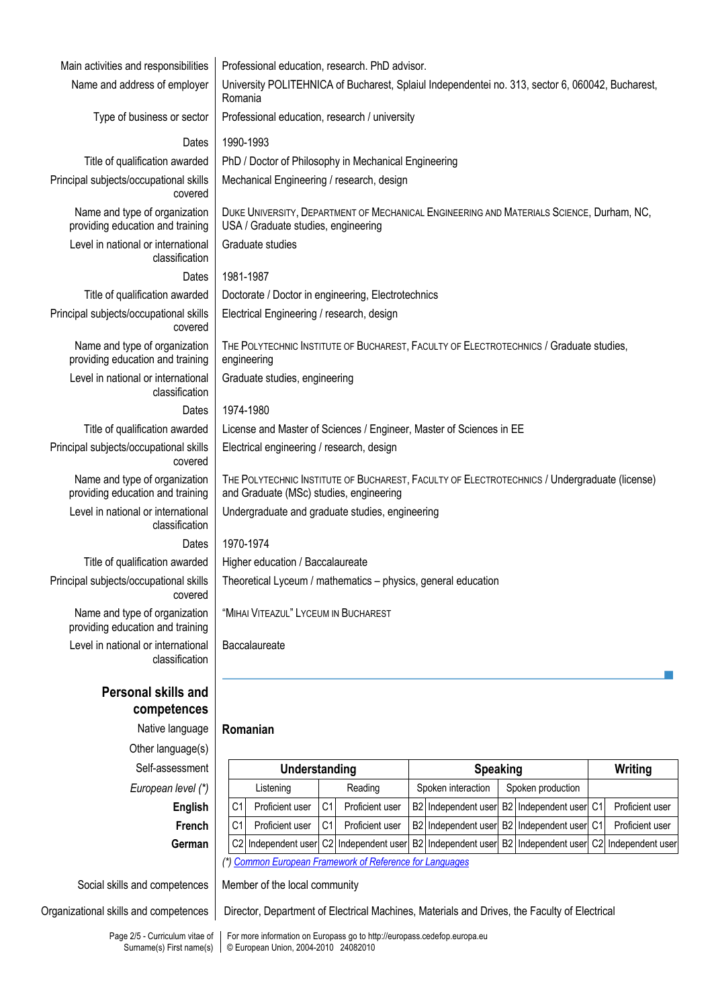| Main activities and responsibilities                              | Professional education, research. PhD advisor.                                                                                                                      |
|-------------------------------------------------------------------|---------------------------------------------------------------------------------------------------------------------------------------------------------------------|
| Name and address of employer                                      | University POLITEHNICA of Bucharest, Splaiul Independentei no. 313, sector 6, 060042, Bucharest,<br>Romania                                                         |
| Type of business or sector                                        | Professional education, research / university                                                                                                                       |
| Dates                                                             | 1990-1993                                                                                                                                                           |
| Title of qualification awarded                                    | PhD / Doctor of Philosophy in Mechanical Engineering                                                                                                                |
| Principal subjects/occupational skills<br>covered                 | Mechanical Engineering / research, design                                                                                                                           |
| Name and type of organization<br>providing education and training | DUKE UNIVERSITY, DEPARTMENT OF MECHANICAL ENGINEERING AND MATERIALS SCIENCE, Durham, NC,<br>USA / Graduate studies, engineering                                     |
| Level in national or international<br>classification              | Graduate studies                                                                                                                                                    |
| Dates                                                             | 1981-1987                                                                                                                                                           |
| Title of qualification awarded                                    | Doctorate / Doctor in engineering, Electrotechnics                                                                                                                  |
| Principal subjects/occupational skills<br>covered                 | Electrical Engineering / research, design                                                                                                                           |
| Name and type of organization<br>providing education and training | THE POLYTECHNIC INSTITUTE OF BUCHAREST, FACULTY OF ELECTROTECHNICS / Graduate studies,<br>engineering                                                               |
| Level in national or international<br>classification              | Graduate studies, engineering                                                                                                                                       |
| <b>Dates</b>                                                      | 1974-1980                                                                                                                                                           |
| Title of qualification awarded                                    | License and Master of Sciences / Engineer, Master of Sciences in EE                                                                                                 |
| Principal subjects/occupational skills<br>covered                 | Electrical engineering / research, design                                                                                                                           |
| Name and type of organization<br>providing education and training | THE POLYTECHNIC INSTITUTE OF BUCHAREST, FACULTY OF ELECTROTECHNICS / Undergraduate (license)<br>and Graduate (MSc) studies, engineering                             |
| Level in national or international<br>classification              | Undergraduate and graduate studies, engineering                                                                                                                     |
| Dates                                                             | 1970-1974                                                                                                                                                           |
| Title of qualification awarded                                    | Higher education / Baccalaureate                                                                                                                                    |
| Principal subjects/occupational skills<br>covered                 | Theoretical Lyceum / mathematics - physics, general education                                                                                                       |
| Name and type of organization<br>providing education and training | "MIHAI VITEAZUL" LYCEUM IN BUCHAREST                                                                                                                                |
| Level in national or international<br>classification              | Baccalaureate                                                                                                                                                       |
| Personal skills and<br>competences                                |                                                                                                                                                                     |
| Native language                                                   | Romanian                                                                                                                                                            |
| Other language(s)                                                 |                                                                                                                                                                     |
| Self-assessment                                                   | Understanding<br><b>Speaking</b><br>Writing                                                                                                                         |
| European level (*)                                                | Spoken production<br>Reading<br>Spoken interaction<br>Listening                                                                                                     |
| English                                                           | Proficient user<br>B2 Independent user<br>C <sub>1</sub><br>Proficient user<br>C <sub>1</sub><br>Proficient user<br>C <sub>1</sub><br><b>B2</b><br>Independent user |
| French                                                            | B2 Independent user B2 Independent user C1<br>C <sub>1</sub><br>Proficient user<br>C <sub>1</sub><br>Proficient user<br>Proficient user                             |
| German                                                            | C <sub>2</sub><br>Independent user<br>B2 Independent user<br>C <sub>2</sub><br>Independent user<br>C2 Independent user B2<br>Independent user                       |
|                                                                   | <b>Common European Framework of Reference for Languages</b>                                                                                                         |

Social skills and competences | Member of the local community

Page 2/5 - Curriculum vitae of Surname(s) First name(s)

Organizational skills and competences | Director, Department of Electrical Machines, Materials and Drives, the Faculty of Electrical

For more information on Europass go to http://europass.cedefop.europa.eu © European Union, 2004-2010 24082010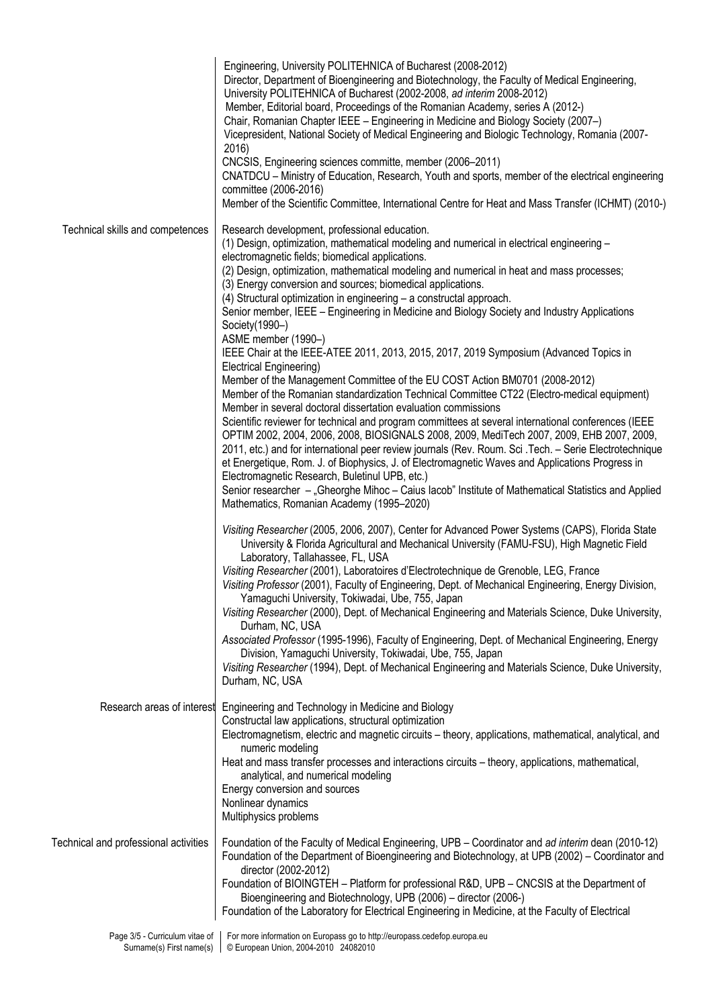|                                                            | Engineering, University POLITEHNICA of Bucharest (2008-2012)<br>Director, Department of Bioengineering and Biotechnology, the Faculty of Medical Engineering,<br>University POLITEHNICA of Bucharest (2002-2008, ad interim 2008-2012)<br>Member, Editorial board, Proceedings of the Romanian Academy, series A (2012-)<br>Chair, Romanian Chapter IEEE - Engineering in Medicine and Biology Society (2007-)<br>Vicepresident, National Society of Medical Engineering and Biologic Technology, Romania (2007-<br>2016)<br>CNCSIS, Engineering sciences committe, member (2006-2011)<br>CNATDCU - Ministry of Education, Research, Youth and sports, member of the electrical engineering<br>committee (2006-2016)<br>Member of the Scientific Committee, International Centre for Heat and Mass Transfer (ICHMT) (2010-)                                                                                   |
|------------------------------------------------------------|---------------------------------------------------------------------------------------------------------------------------------------------------------------------------------------------------------------------------------------------------------------------------------------------------------------------------------------------------------------------------------------------------------------------------------------------------------------------------------------------------------------------------------------------------------------------------------------------------------------------------------------------------------------------------------------------------------------------------------------------------------------------------------------------------------------------------------------------------------------------------------------------------------------|
| Technical skills and competences                           | Research development, professional education.<br>(1) Design, optimization, mathematical modeling and numerical in electrical engineering -<br>electromagnetic fields; biomedical applications.<br>(2) Design, optimization, mathematical modeling and numerical in heat and mass processes;<br>(3) Energy conversion and sources; biomedical applications.<br>(4) Structural optimization in engineering - a constructal approach.<br>Senior member, IEEE – Engineering in Medicine and Biology Society and Industry Applications<br>Society(1990-)<br>ASME member (1990-)<br>IEEE Chair at the IEEE-ATEE 2011, 2013, 2015, 2017, 2019 Symposium (Advanced Topics in<br>Electrical Engineering)<br>Member of the Management Committee of the EU COST Action BM0701 (2008-2012)                                                                                                                                |
|                                                            | Member of the Romanian standardization Technical Committee CT22 (Electro-medical equipment)<br>Member in several doctoral dissertation evaluation commissions<br>Scientific reviewer for technical and program committees at several international conferences (IEEE<br>OPTIM 2002, 2004, 2006, 2008, BIOSIGNALS 2008, 2009, MediTech 2007, 2009, EHB 2007, 2009,<br>2011, etc.) and for international peer review journals (Rev. Roum. Sci. Tech. - Serie Electrotechnique<br>et Energetique, Rom. J. of Biophysics, J. of Electromagnetic Waves and Applications Progress in<br>Electromagnetic Research, Buletinul UPB, etc.)<br>Senior researcher - "Gheorghe Mihoc - Caius lacob" Institute of Mathematical Statistics and Applied<br>Mathematics, Romanian Academy (1995-2020)                                                                                                                          |
|                                                            | Visiting Researcher (2005, 2006, 2007), Center for Advanced Power Systems (CAPS), Florida State<br>University & Florida Agricultural and Mechanical University (FAMU-FSU), High Magnetic Field<br>Laboratory, Tallahassee, FL, USA<br>Visiting Researcher (2001), Laboratoires d'Electrotechnique de Grenoble, LEG, France<br>Visiting Professor (2001), Faculty of Engineering, Dept. of Mechanical Engineering, Energy Division,<br>Yamaguchi University, Tokiwadai, Ube, 755, Japan<br>Visiting Researcher (2000), Dept. of Mechanical Engineering and Materials Science, Duke University,<br>Durham, NC, USA<br>Associated Professor (1995-1996), Faculty of Engineering, Dept. of Mechanical Engineering, Energy<br>Division, Yamaguchi University, Tokiwadai, Ube, 755, Japan<br>Visiting Researcher (1994), Dept. of Mechanical Engineering and Materials Science, Duke University,<br>Durham, NC, USA |
| Research areas of interest                                 | Engineering and Technology in Medicine and Biology<br>Constructal law applications, structural optimization<br>Electromagnetism, electric and magnetic circuits - theory, applications, mathematical, analytical, and<br>numeric modeling<br>Heat and mass transfer processes and interactions circuits - theory, applications, mathematical,<br>analytical, and numerical modeling<br>Energy conversion and sources<br>Nonlinear dynamics<br>Multiphysics problems                                                                                                                                                                                                                                                                                                                                                                                                                                           |
| Technical and professional activities                      | Foundation of the Faculty of Medical Engineering, UPB - Coordinator and ad interim dean (2010-12)<br>Foundation of the Department of Bioengineering and Biotechnology, at UPB (2002) – Coordinator and<br>director (2002-2012)<br>Foundation of BIOINGTEH - Platform for professional R&D, UPB - CNCSIS at the Department of<br>Bioengineering and Biotechnology, UPB (2006) - director (2006-)<br>Foundation of the Laboratory for Electrical Engineering in Medicine, at the Faculty of Electrical                                                                                                                                                                                                                                                                                                                                                                                                          |
| Page 3/5 - Curriculum vitae of<br>Surname(s) First name(s) | For more information on Europass go to http://europass.cedefop.europa.eu<br>© European Union, 2004-2010 24082010                                                                                                                                                                                                                                                                                                                                                                                                                                                                                                                                                                                                                                                                                                                                                                                              |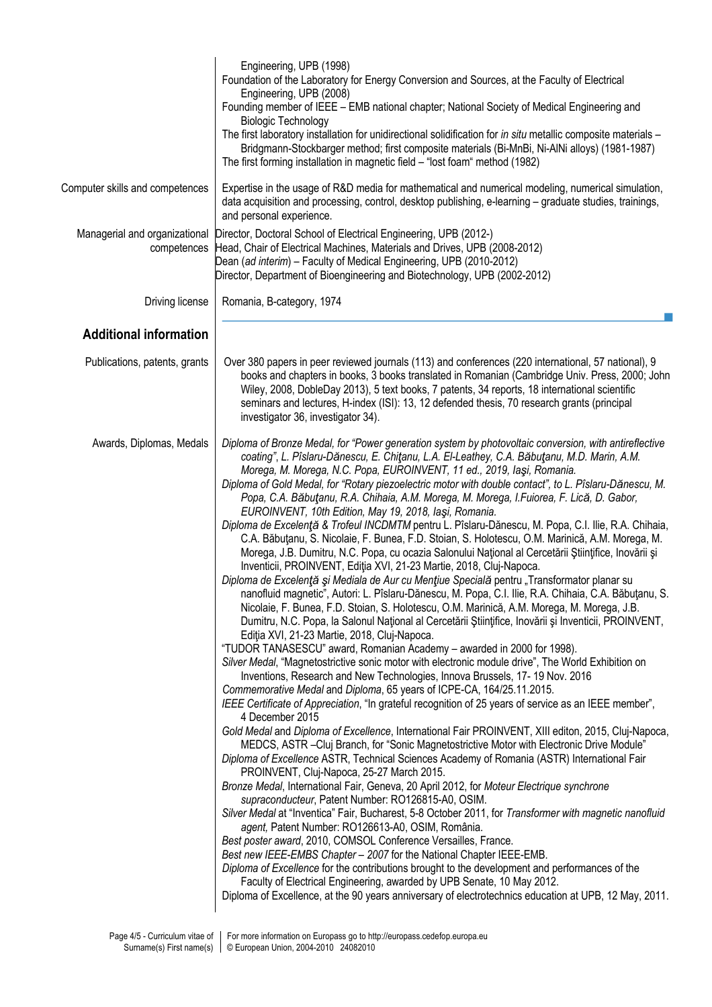|                                              | Engineering, UPB (1998)<br>Foundation of the Laboratory for Energy Conversion and Sources, at the Faculty of Electrical<br>Engineering, UPB (2008)<br>Founding member of IEEE - EMB national chapter; National Society of Medical Engineering and<br><b>Biologic Technology</b><br>The first laboratory installation for unidirectional solidification for in situ metallic composite materials -<br>Bridgmann-Stockbarger method; first composite materials (Bi-MnBi, Ni-AlNi alloys) (1981-1987)<br>The first forming installation in magnetic field - "lost foam" method (1982)                                                                                                                                                                                                                                                                                                                                                                                                                                                                                                                                                                                                                                                                                                                                                                                                                                                                                                                                                                                                                                                                                                                                                                                                                                                                                                                                                                                                                                                                                                                                                                                                                                                                                                                                                                                                                                                                                                                                                                                                                                                                                                                                                                                                                                                                                                                                                                                      |
|----------------------------------------------|-------------------------------------------------------------------------------------------------------------------------------------------------------------------------------------------------------------------------------------------------------------------------------------------------------------------------------------------------------------------------------------------------------------------------------------------------------------------------------------------------------------------------------------------------------------------------------------------------------------------------------------------------------------------------------------------------------------------------------------------------------------------------------------------------------------------------------------------------------------------------------------------------------------------------------------------------------------------------------------------------------------------------------------------------------------------------------------------------------------------------------------------------------------------------------------------------------------------------------------------------------------------------------------------------------------------------------------------------------------------------------------------------------------------------------------------------------------------------------------------------------------------------------------------------------------------------------------------------------------------------------------------------------------------------------------------------------------------------------------------------------------------------------------------------------------------------------------------------------------------------------------------------------------------------------------------------------------------------------------------------------------------------------------------------------------------------------------------------------------------------------------------------------------------------------------------------------------------------------------------------------------------------------------------------------------------------------------------------------------------------------------------------------------------------------------------------------------------------------------------------------------------------------------------------------------------------------------------------------------------------------------------------------------------------------------------------------------------------------------------------------------------------------------------------------------------------------------------------------------------------------------------------------------------------------------------------------------------------|
| Computer skills and competences              | Expertise in the usage of R&D media for mathematical and numerical modeling, numerical simulation,<br>data acquisition and processing, control, desktop publishing, e-learning - graduate studies, trainings,<br>and personal experience.                                                                                                                                                                                                                                                                                                                                                                                                                                                                                                                                                                                                                                                                                                                                                                                                                                                                                                                                                                                                                                                                                                                                                                                                                                                                                                                                                                                                                                                                                                                                                                                                                                                                                                                                                                                                                                                                                                                                                                                                                                                                                                                                                                                                                                                                                                                                                                                                                                                                                                                                                                                                                                                                                                                               |
| Managerial and organizational<br>competences | Director, Doctoral School of Electrical Engineering, UPB (2012-)<br>Head, Chair of Electrical Machines, Materials and Drives, UPB (2008-2012)<br>Dean (ad interim) - Faculty of Medical Engineering, UPB (2010-2012)<br>Director, Department of Bioengineering and Biotechnology, UPB (2002-2012)                                                                                                                                                                                                                                                                                                                                                                                                                                                                                                                                                                                                                                                                                                                                                                                                                                                                                                                                                                                                                                                                                                                                                                                                                                                                                                                                                                                                                                                                                                                                                                                                                                                                                                                                                                                                                                                                                                                                                                                                                                                                                                                                                                                                                                                                                                                                                                                                                                                                                                                                                                                                                                                                       |
| Driving license                              | Romania, B-category, 1974                                                                                                                                                                                                                                                                                                                                                                                                                                                                                                                                                                                                                                                                                                                                                                                                                                                                                                                                                                                                                                                                                                                                                                                                                                                                                                                                                                                                                                                                                                                                                                                                                                                                                                                                                                                                                                                                                                                                                                                                                                                                                                                                                                                                                                                                                                                                                                                                                                                                                                                                                                                                                                                                                                                                                                                                                                                                                                                                               |
| <b>Additional information</b>                |                                                                                                                                                                                                                                                                                                                                                                                                                                                                                                                                                                                                                                                                                                                                                                                                                                                                                                                                                                                                                                                                                                                                                                                                                                                                                                                                                                                                                                                                                                                                                                                                                                                                                                                                                                                                                                                                                                                                                                                                                                                                                                                                                                                                                                                                                                                                                                                                                                                                                                                                                                                                                                                                                                                                                                                                                                                                                                                                                                         |
| Publications, patents, grants                | Over 380 papers in peer reviewed journals (113) and conferences (220 international, 57 national), 9<br>books and chapters in books, 3 books translated in Romanian (Cambridge Univ. Press, 2000; John<br>Wiley, 2008, DobleDay 2013), 5 text books, 7 patents, 34 reports, 18 international scientific<br>seminars and lectures, H-index (ISI): 13, 12 defended thesis, 70 research grants (principal<br>investigator 36, investigator 34).                                                                                                                                                                                                                                                                                                                                                                                                                                                                                                                                                                                                                                                                                                                                                                                                                                                                                                                                                                                                                                                                                                                                                                                                                                                                                                                                                                                                                                                                                                                                                                                                                                                                                                                                                                                                                                                                                                                                                                                                                                                                                                                                                                                                                                                                                                                                                                                                                                                                                                                             |
| Awards, Diplomas, Medals                     | Diploma of Bronze Medal, for "Power generation system by photovoltaic conversion, with antireflective<br>coating", L. Pîslaru-Dănescu, E. Chițanu, L.A. El-Leathey, C.A. Băbuțanu, M.D. Marin, A.M.<br>Morega, M. Morega, N.C. Popa, EUROINVENT, 11 ed., 2019, laşi, Romania.<br>Diploma of Gold Medal, for "Rotary piezoelectric motor with double contact", to L. Pîslaru-Dănescu, M.<br>Popa, C.A. Băbuțanu, R.A. Chihaia, A.M. Morega, M. Morega, I.Fuiorea, F. Lică, D. Gabor,<br>EUROINVENT, 10th Edition, May 19, 2018, Iaşi, Romania.<br>Diploma de Excelență & Trofeul INCDMTM pentru L. Pîslaru-Dănescu, M. Popa, C.I. Ilie, R.A. Chihaia,<br>C.A. Băbuțanu, S. Nicolaie, F. Bunea, F.D. Stoian, S. Holotescu, O.M. Marinică, A.M. Morega, M.<br>Morega, J.B. Dumitru, N.C. Popa, cu ocazia Salonului Național al Cercetării Științifice, Inovării și<br>Inventicii, PROINVENT, Ediția XVI, 21-23 Martie, 2018, Cluj-Napoca.<br>Diploma de Excelență și Mediala de Aur cu Mențiue Specială pentru "Transformator planar su<br>nanofluid magnetic", Autori: L. Pîslaru-Dănescu, M. Popa, C.I. Ilie, R.A. Chihaia, C.A. Băbuțanu, S.<br>Nicolaie, F. Bunea, F.D. Stoian, S. Holotescu, O.M. Marinică, A.M. Morega, M. Morega, J.B.<br>Dumitru, N.C. Popa, la Salonul Național al Cercetării Științifice, Inovării și Inventicii, PROINVENT,<br>Ediția XVI, 21-23 Martie, 2018, Cluj-Napoca.<br>"TUDOR TANASESCU" award, Romanian Academy - awarded in 2000 for 1998).<br>Silver Medal, "Magnetostrictive sonic motor with electronic module drive", The World Exhibition on<br>Inventions, Research and New Technologies, Innova Brussels, 17-19 Nov. 2016<br>Commemorative Medal and Diploma, 65 years of ICPE-CA, 164/25.11.2015.<br>IEEE Certificate of Appreciation, "In grateful recognition of 25 years of service as an IEEE member",<br>4 December 2015<br>Gold Medal and Diploma of Excellence, International Fair PROINVENT, XIII editon, 2015, Cluj-Napoca,<br>MEDCS, ASTR -Cluj Branch, for "Sonic Magnetostrictive Motor with Electronic Drive Module"<br>Diploma of Excellence ASTR, Technical Sciences Academy of Romania (ASTR) International Fair<br>PROINVENT, Cluj-Napoca, 25-27 March 2015.<br>Bronze Medal, International Fair, Geneva, 20 April 2012, for Moteur Electrique synchrone<br>supraconducteur, Patent Number: RO126815-A0, OSIM.<br>Silver Medal at "Inventica" Fair, Bucharest, 5-8 October 2011, for Transformer with magnetic nanofluid<br>agent, Patent Number: RO126613-A0, OSIM, România.<br>Best poster award, 2010, COMSOL Conference Versailles, France.<br>Best new IEEE-EMBS Chapter - 2007 for the National Chapter IEEE-EMB.<br>Diploma of Excellence for the contributions brought to the development and performances of the<br>Faculty of Electrical Engineering, awarded by UPB Senate, 10 May 2012.<br>Diploma of Excellence, at the 90 years anniversary of electrotechnics education at UPB, 12 May, 2011. |